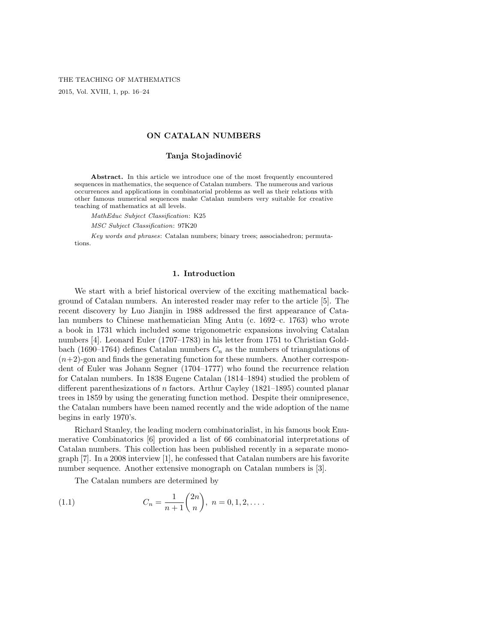### ON CATALAN NUMBERS

## Tanja Stojadinović

Abstract. In this article we introduce one of the most frequently encountered sequences in mathematics, the sequence of Catalan numbers. The numerous and various occurrences and applications in combinatorial problems as well as their relations with other famous numerical sequences make Catalan numbers very suitable for creative teaching of mathematics at all levels.

MathEduc Subject Classification: K25

MSC Subject Classification: 97K20

Key words and phrases: Catalan numbers; binary trees; associahedron; permutations.

### 1. Introduction

We start with a brief historical overview of the exciting mathematical background of Catalan numbers. An interested reader may refer to the article [5]. The recent discovery by Luo Jianjin in 1988 addressed the first appearance of Catalan numbers to Chinese mathematician Ming Antu (c. 1692–c. 1763) who wrote a book in 1731 which included some trigonometric expansions involving Catalan numbers [4]. Leonard Euler (1707–1783) in his letter from 1751 to Christian Goldbach (1690–1764) defines Catalan numbers  $C_n$  as the numbers of triangulations of  $(n+2)$ -gon and finds the generating function for these numbers. Another correspondent of Euler was Johann Segner (1704–1777) who found the recurrence relation for Catalan numbers. In 1838 Eugene Catalan (1814–1894) studied the problem of different parenthesizations of n factors. Arthur Cayley (1821–1895) counted planar trees in 1859 by using the generating function method. Despite their omnipresence, the Catalan numbers have been named recently and the wide adoption of the name begins in early 1970's.

Richard Stanley, the leading modern combinatorialist, in his famous book Enumerative Combinatorics [6] provided a list of 66 combinatorial interpretations of Catalan numbers. This collection has been published recently in a separate monograph [7]. In a 2008 interview [1], he confessed that Catalan numbers are his favorite number sequence. Another extensive monograph on Catalan numbers is [3].

The Catalan numbers are determined by

(1.1) 
$$
C_n = \frac{1}{n+1} \binom{2n}{n}, \ n = 0, 1, 2, \dots.
$$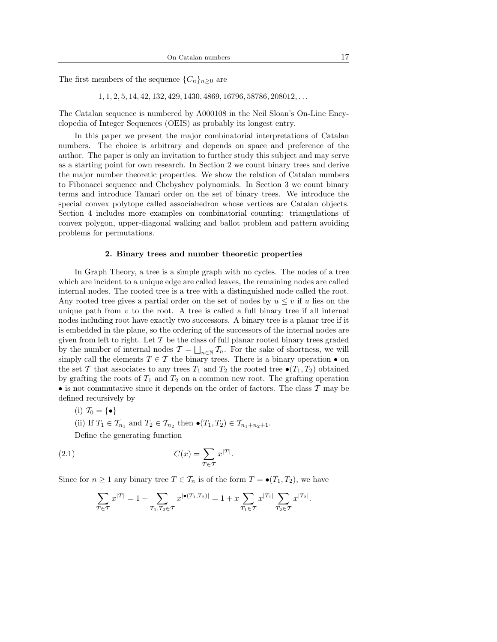The first members of the sequence  $\{C_n\}_{n\geq 0}$  are

 $1, 1, 2, 5, 14, 42, 132, 429, 1430, 4869, 16796, 58786, 208012, \ldots$ 

The Catalan sequence is numbered by A000108 in the Neil Sloan's On-Line Encyclopedia of Integer Sequences (OEIS) as probably its longest entry.

In this paper we present the major combinatorial interpretations of Catalan numbers. The choice is arbitrary and depends on space and preference of the author. The paper is only an invitation to further study this subject and may serve as a starting point for own research. In Section 2 we count binary trees and derive the major number theoretic properties. We show the relation of Catalan numbers to Fibonacci sequence and Chebyshev polynomials. In Section 3 we count binary terms and introduce Tamari order on the set of binary trees. We introduce the special convex polytope called associahedron whose vertices are Catalan objects. Section 4 includes more examples on combinatorial counting: triangulations of convex polygon, upper-diagonal walking and ballot problem and pattern avoiding problems for permutations.

### 2. Binary trees and number theoretic properties

In Graph Theory, a tree is a simple graph with no cycles. The nodes of a tree which are incident to a unique edge are called leaves, the remaining nodes are called internal nodes. The rooted tree is a tree with a distinguished node called the root. Any rooted tree gives a partial order on the set of nodes by  $u \leq v$  if u lies on the unique path from  $v$  to the root. A tree is called a full binary tree if all internal nodes including root have exactly two successors. A binary tree is a planar tree if it is embedded in the plane, so the ordering of the successors of the internal nodes are given from left to right. Let  $\mathcal T$  be the class of full planar rooted binary trees graded by the number of internal nodes  $\mathcal{T} = \bigsqcup_{n \in \mathbb{N}} \mathcal{T}_n$ . For the sake of shortness, we will simply call the elements  $T \in \mathcal{T}$  the binary trees. There is a binary operation  $\bullet$  on the set T that associates to any trees  $T_1$  and  $T_2$  the rooted tree  $\bullet(T_1, T_2)$  obtained by grafting the roots of  $T_1$  and  $T_2$  on a common new root. The grafting operation • is not commutative since it depends on the order of factors. The class  $\mathcal T$  may be defined recursively by

- (i)  $\mathcal{T}_0 = \{\bullet\}$
- (ii) If  $T_1 \in \mathcal{T}_{n_1}$  and  $T_2 \in \mathcal{T}_{n_2}$  then  $\bullet(T_1, T_2) \in \mathcal{T}_{n_1+n_2+1}$ .

Define the generating function

$$
C(x) = \sum_{T \in \mathcal{T}} x^{|T|}.
$$

Since for  $n \geq 1$  any binary tree  $T \in \mathcal{T}_n$  is of the form  $T = \bullet(T_1, T_2)$ , we have

$$
\sum_{T \in \mathcal{T}} x^{|T|} = 1 + \sum_{T_1, T_2 \in \mathcal{T}} x^{|\bullet(T_1, T_2)|} = 1 + x \sum_{T_1 \in \mathcal{T}} x^{|T_1|} \sum_{T_2 \in \mathcal{T}} x^{|T_2|}.
$$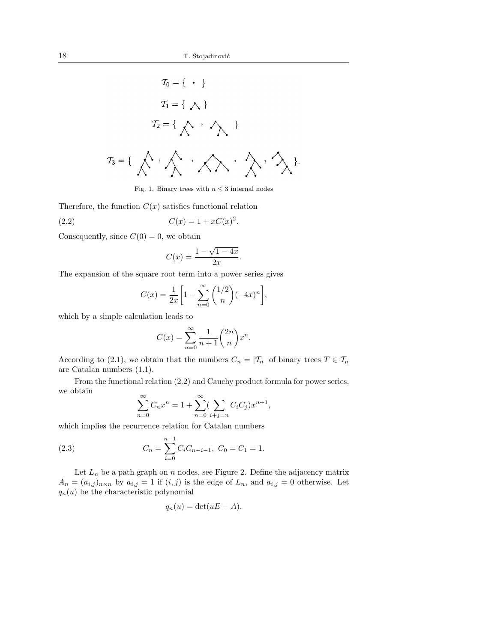$$
T_0 = \{\cdot\}
$$
  

$$
T_1 = \{\ \land\}
$$
  

$$
T_2 = \{\ \land\ \cdot\ \land\ \}
$$
  

$$
T_3 = \{\ \land\ \cdot\ \land\ \cdot\ \land\ \cdot\ \land\ \cdot\ \land\ \cdot\ \}
$$

Fig. 1. Binary trees with  $n\leq 3$  internal nodes

Therefore, the function  $C(x)$  satisfies functional relation

(2.2) 
$$
C(x) = 1 + xC(x)^2.
$$

Consequently, since  $C(0) = 0$ , we obtain

$$
C(x) = \frac{1 - \sqrt{1 - 4x}}{2x}.
$$

The expansion of the square root term into a power series gives

$$
C(x) = \frac{1}{2x} \left[ 1 - \sum_{n=0}^{\infty} {1/2 \choose n} (-4x)^n \right],
$$

which by a simple calculation leads to

$$
C(x) = \sum_{n=0}^{\infty} \frac{1}{n+1} \binom{2n}{n} x^n
$$

.

According to (2.1), we obtain that the numbers  $C_n = |\mathcal{T}_n|$  of binary trees  $T \in \mathcal{T}_n$ are Catalan numbers (1.1).

From the functional relation (2.2) and Cauchy product formula for power series, we obtain

$$
\sum_{n=0}^{\infty} C_n x^n = 1 + \sum_{n=0}^{\infty} \left( \sum_{i+j=n} C_i C_j \right) x^{n+1},
$$

which implies the recurrence relation for Catalan numbers

(2.3) 
$$
C_n = \sum_{i=0}^{n-1} C_i C_{n-i-1}, \ C_0 = C_1 = 1.
$$

Let  $L_n$  be a path graph on n nodes, see Figure 2. Define the adjacency matrix  $A_n = (a_{i,j})_{n \times n}$  by  $a_{i,j} = 1$  if  $(i,j)$  is the edge of  $L_n$ , and  $a_{i,j} = 0$  otherwise. Let  $q_n(u)$  be the characteristic polynomial

$$
q_n(u) = \det(uE - A).
$$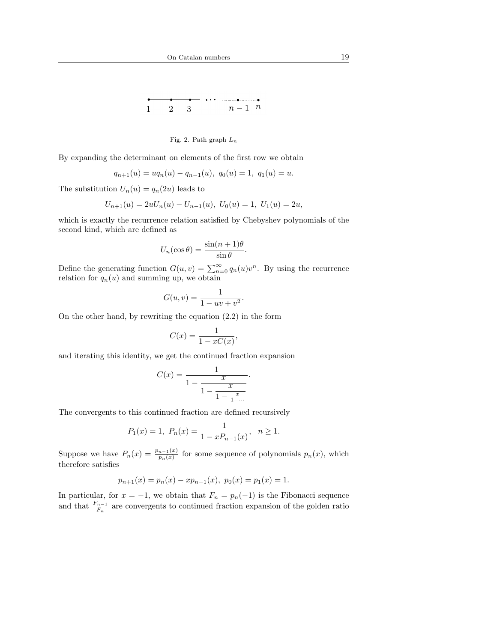$n-1$  n  $\mathbf{1}$  $\overline{2}$ 3



By expanding the determinant on elements of the first row we obtain

$$
q_{n+1}(u) = uq_n(u) - q_{n-1}(u), \ q_0(u) = 1, \ q_1(u) = u.
$$

The substitution  $U_n(u) = q_n(2u)$  leads to

$$
U_{n+1}(u) = 2uU_n(u) - U_{n-1}(u), \ U_0(u) = 1, \ U_1(u) = 2u,
$$

which is exactly the recurrence relation satisfied by Chebyshev polynomials of the second kind, which are defined as

$$
U_n(\cos \theta) = \frac{\sin((n+1)\theta)}{\sin \theta}.
$$

Define the generating function  $G(u, v) = \sum_{n=0}^{\infty} q_n(u)v^n$ . By using the recurrence relation for  $q_n(u)$  and summing up, we obtain

$$
G(u,v) = \frac{1}{1 - uv + v^2}.
$$

On the other hand, by rewriting the equation (2.2) in the form

$$
C(x) = \frac{1}{1 - xC(x)},
$$

and iterating this identity, we get the continued fraction expansion

$$
C(x) = \frac{1}{1 - \frac{x}{1 - \frac{x}{1 - \frac{x}{1 - \dots}}}}.
$$

The convergents to this continued fraction are defined recursively

$$
P_1(x) = 1
$$
,  $P_n(x) = \frac{1}{1 - xP_{n-1}(x)}$ ,  $n \ge 1$ .

Suppose we have  $P_n(x) = \frac{p_{n-1}(x)}{p_n(x)}$  for some sequence of polynomials  $p_n(x)$ , which therefore satisfies

$$
p_{n+1}(x) = p_n(x) - x p_{n-1}(x), \ p_0(x) = p_1(x) = 1.
$$

In particular, for  $x = -1$ , we obtain that  $F_n = p_n(-1)$  is the Fibonacci sequence and that  $\frac{F_{n-1}}{F_n}$  are convergents to continued fraction expansion of the golden ratio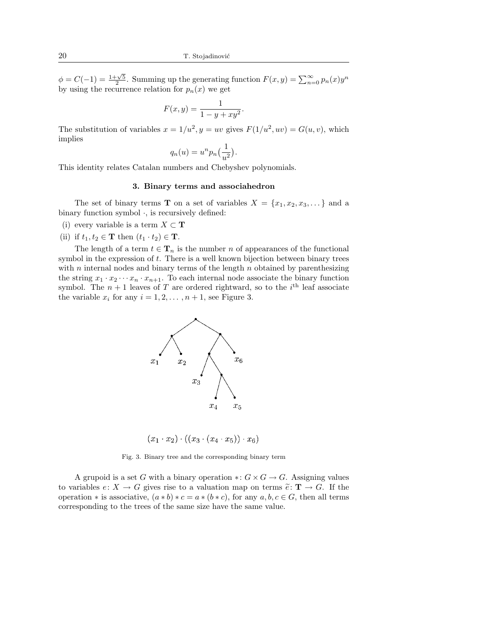$\phi = C(-1) = \frac{1+\sqrt{5}}{2}$ . Summing up the generating function  $F(x, y) = \sum_{n=0}^{\infty} p_n(x) y^n$ by using the recurrence relation for  $p_n(x)$  we get

$$
F(x, y) = \frac{1}{1 - y + xy^2}.
$$

The substitution of variables  $x = 1/u^2$ ,  $y = uv$  gives  $F(1/u^2, uv) = G(u, v)$ , which implies

$$
q_n(u) = u^n p_n\left(\frac{1}{u^2}\right).
$$

This identity relates Catalan numbers and Chebyshev polynomials.

# 3. Binary terms and associahedron

The set of binary terms **T** on a set of variables  $X = \{x_1, x_2, x_3, \dots\}$  and a binary function symbol  $\cdot$ , is recursively defined:

- (i) every variable is a term  $X \subset \mathbf{T}$
- (ii) if  $t_1, t_2 \in \mathbf{T}$  then  $(t_1 \cdot t_2) \in \mathbf{T}$ .

The length of a term  $t \in \mathbf{T}_n$  is the number n of appearances of the functional symbol in the expression of  $t$ . There is a well known bijection between binary trees with  $n$  internal nodes and binary terms of the length  $n$  obtained by parenthesizing the string  $x_1 \cdot x_2 \cdots x_n \cdot x_{n+1}$ . To each internal node associate the binary function symbol. The  $n+1$  leaves of T are ordered rightward, so to the  $i<sup>th</sup>$  leaf associate the variable  $x_i$  for any  $i = 1, 2, \ldots, n + 1$ , see Figure 3.



 $(x_1 \cdot x_2) \cdot ((x_3 \cdot (x_4 \cdot x_5)) \cdot x_6)$ 

Fig. 3. Binary tree and the corresponding binary term

A grupoid is a set G with a binary operation  $\ast: G \times G \to G$ . Assigning values to variables  $e: X \to G$  gives rise to a valuation map on terms  $\tilde{e}: \mathbf{T} \to G$ . If the operation  $*$  is associative,  $(a * b) * c = a * (b * c)$ , for any  $a, b, c \in G$ , then all terms corresponding to the trees of the same size have the same value.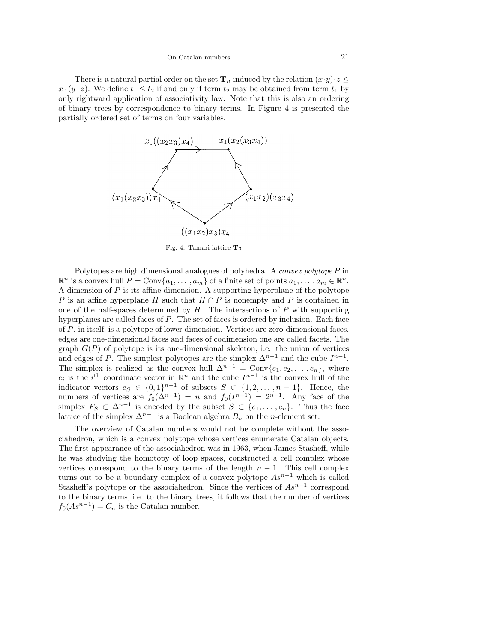There is a natural partial order on the set  $\mathbf{T}_n$  induced by the relation  $(x \cdot y) \cdot z \leq$  $x \cdot (y \cdot z)$ . We define  $t_1 \leq t_2$  if and only if term  $t_2$  may be obtained from term  $t_1$  by only rightward application of associativity law. Note that this is also an ordering of binary trees by correspondence to binary terms. In Figure 4 is presented the partially ordered set of terms on four variables.



Fig. 4. Tamari lattice  $T_3$ 

Polytopes are high dimensional analogues of polyhedra. A convex polytope P in  $\mathbb{R}^n$  is a convex hull  $P = \text{Conv}\{a_1, \dots, a_m\}$  of a finite set of points  $a_1, \dots, a_m \in \mathbb{R}^n$ . A dimension of  $P$  is its affine dimension. A supporting hyperplane of the polytope P is an affine hyperplane H such that  $H \cap P$  is nonempty and P is contained in one of the half-spaces determined by  $H$ . The intersections of P with supporting hyperplanes are called faces of P. The set of faces is ordered by inclusion. Each face of P, in itself, is a polytope of lower dimension. Vertices are zero-dimensional faces, edges are one-dimensional faces and faces of codimension one are called facets. The graph  $G(P)$  of polytope is its one-dimensional skeleton, i.e. the union of vertices and edges of P. The simplest polytopes are the simplex  $\Delta^{n-1}$  and the cube  $I^{n-1}$ . The simplex is realized as the convex hull  $\Delta^{n-1} = \text{Conv}\{e_1, e_2, \ldots, e_n\}$ , where  $e_i$  is the  $i$ <sup>th</sup> coordinate vector in  $\mathbb{R}^n$  and the cube  $I^{n-1}$  is the convex hull of the indicator vectors  $e_S \in \{0,1\}^{n-1}$  of subsets  $S \subset \{1,2,\ldots,n-1\}$ . Hence, the numbers of vertices are  $f_0(\Delta^{n-1}) = n$  and  $f_0(I^{n-1}) = 2^{n-1}$ . Any face of the simplex  $F_S \subset \Delta^{n-1}$  is encoded by the subset  $S \subset \{e_1, \ldots, e_n\}$ . Thus the face lattice of the simplex  $\Delta^{n-1}$  is a Boolean algebra  $B_n$  on the *n*-element set.

The overview of Catalan numbers would not be complete without the associahedron, which is a convex polytope whose vertices enumerate Catalan objects. The first appearance of the associahedron was in 1963, when James Stasheff, while he was studying the homotopy of loop spaces, constructed a cell complex whose vertices correspond to the binary terms of the length  $n - 1$ . This cell complex turns out to be a boundary complex of a convex polytope  $As^{n-1}$  which is called Stasheff's polytope or the associahedron. Since the vertices of  $As<sup>n-1</sup>$  correspond to the binary terms, i.e. to the binary trees, it follows that the number of vertices  $f_0(As^{n-1}) = C_n$  is the Catalan number.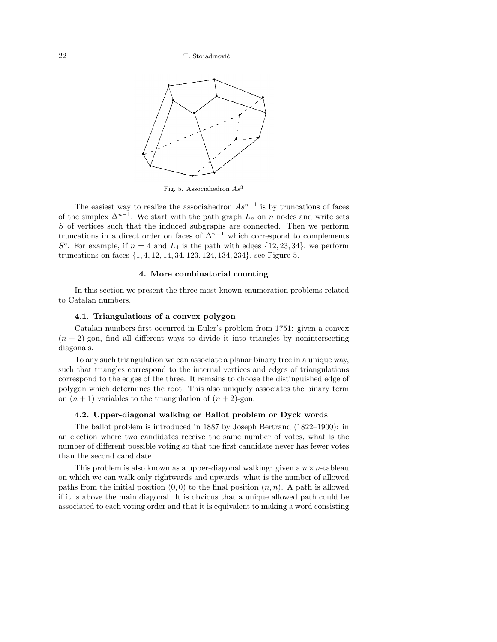

Fig. 5. Associahedron  $As^3$ 

The easiest way to realize the associahedron  $As^{n-1}$  is by truncations of faces of the simplex  $\Delta^{n-1}$ . We start with the path graph  $L_n$  on n nodes and write sets S of vertices such that the induced subgraphs are connected. Then we perform truncations in a direct order on faces of  $\Delta^{n-1}$  which correspond to complements  $S<sup>c</sup>$ . For example, if  $n = 4$  and  $L_4$  is the path with edges  $\{12, 23, 34\}$ , we perform truncations on faces {1, 4, 12, 14, 34, 123, 124, 134, 234}, see Figure 5.

#### 4. More combinatorial counting

In this section we present the three most known enumeration problems related to Catalan numbers.

## 4.1. Triangulations of a convex polygon

Catalan numbers first occurred in Euler's problem from 1751: given a convex  $(n + 2)$ -gon, find all different ways to divide it into triangles by nonintersecting diagonals.

To any such triangulation we can associate a planar binary tree in a unique way, such that triangles correspond to the internal vertices and edges of triangulations correspond to the edges of the three. It remains to choose the distinguished edge of polygon which determines the root. This also uniquely associates the binary term on  $(n + 1)$  variables to the triangulation of  $(n + 2)$ -gon.

# 4.2. Upper-diagonal walking or Ballot problem or Dyck words

The ballot problem is introduced in 1887 by Joseph Bertrand (1822–1900): in an election where two candidates receive the same number of votes, what is the number of different possible voting so that the first candidate never has fewer votes than the second candidate.

This problem is also known as a upper-diagonal walking: given a  $n \times n$ -tableau on which we can walk only rightwards and upwards, what is the number of allowed paths from the initial position  $(0, 0)$  to the final position  $(n, n)$ . A path is allowed if it is above the main diagonal. It is obvious that a unique allowed path could be associated to each voting order and that it is equivalent to making a word consisting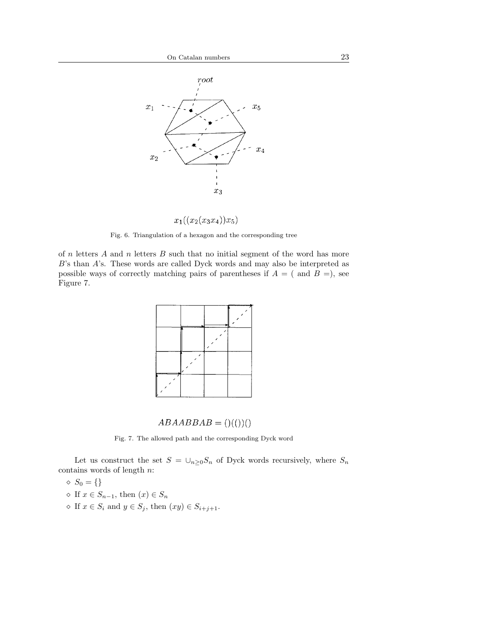

 $x_1((x_2(x_3x_4))x_5)$ 

Fig. 6. Triangulation of a hexagon and the corresponding tree

of  $n$  letters  $A$  and  $n$  letters  $B$  such that no initial segment of the word has more B's than A's. These words are called Dyck words and may also be interpreted as possible ways of correctly matching pairs of parentheses if  $A = ($  and  $B =)$ , see Figure 7.



$$
ABAABBAB=()(())()
$$

Fig. 7. The allowed path and the corresponding Dyck word

Let us construct the set  $S \,=\, \cup_{n\geq 0} S_n$  of Dyck words recursively, where  $S_n$ contains words of length n:

- $\Diamond S_0 = \{\}$
- $\Diamond$  If  $x \in S_{n-1}$ , then  $(x) \in S_n$
- $\Diamond$  If  $x \in S_i$  and  $y \in S_j$ , then  $(xy) \in S_{i+j+1}$ .